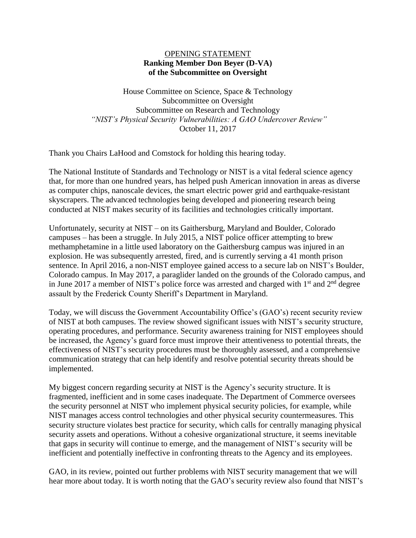## OPENING STATEMENT **Ranking Member Don Beyer (D-VA) of the Subcommittee on Oversight**

House Committee on Science, Space & Technology Subcommittee on Oversight Subcommittee on Research and Technology *"NIST's Physical Security Vulnerabilities: A GAO Undercover Review"* October 11, 2017

Thank you Chairs LaHood and Comstock for holding this hearing today.

The National Institute of Standards and Technology or NIST is a vital federal science agency that, for more than one hundred years, has helped push American innovation in areas as diverse as computer chips, nanoscale devices, the smart electric power grid and earthquake-resistant skyscrapers. The advanced technologies being developed and pioneering research being conducted at NIST makes security of its facilities and technologies critically important.

Unfortunately, security at NIST – on its Gaithersburg, Maryland and Boulder, Colorado campuses – has been a struggle. In July 2015, a NIST police officer attempting to brew methamphetamine in a little used laboratory on the Gaithersburg campus was injured in an explosion. He was subsequently arrested, fired, and is currently serving a 41 month prison sentence. In April 2016, a non-NIST employee gained access to a secure lab on NIST's Boulder, Colorado campus. In May 2017, a paraglider landed on the grounds of the Colorado campus, and in June 2017 a member of NIST's police force was arrested and charged with  $1<sup>st</sup>$  and  $2<sup>nd</sup>$  degree assault by the Frederick County Sheriff's Department in Maryland.

Today, we will discuss the Government Accountability Office's (GAO's) recent security review of NIST at both campuses. The review showed significant issues with NIST's security structure, operating procedures, and performance. Security awareness training for NIST employees should be increased, the Agency's guard force must improve their attentiveness to potential threats, the effectiveness of NIST's security procedures must be thoroughly assessed, and a comprehensive communication strategy that can help identify and resolve potential security threats should be implemented.

My biggest concern regarding security at NIST is the Agency's security structure. It is fragmented, inefficient and in some cases inadequate. The Department of Commerce oversees the security personnel at NIST who implement physical security policies, for example, while NIST manages access control technologies and other physical security countermeasures. This security structure violates best practice for security, which calls for centrally managing physical security assets and operations. Without a cohesive organizational structure, it seems inevitable that gaps in security will continue to emerge, and the management of NIST's security will be inefficient and potentially ineffective in confronting threats to the Agency and its employees.

GAO, in its review, pointed out further problems with NIST security management that we will hear more about today. It is worth noting that the GAO's security review also found that NIST's